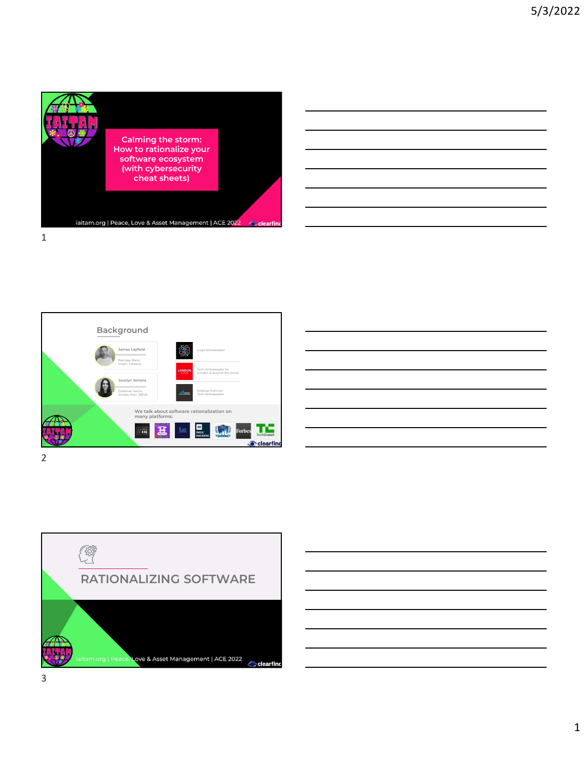







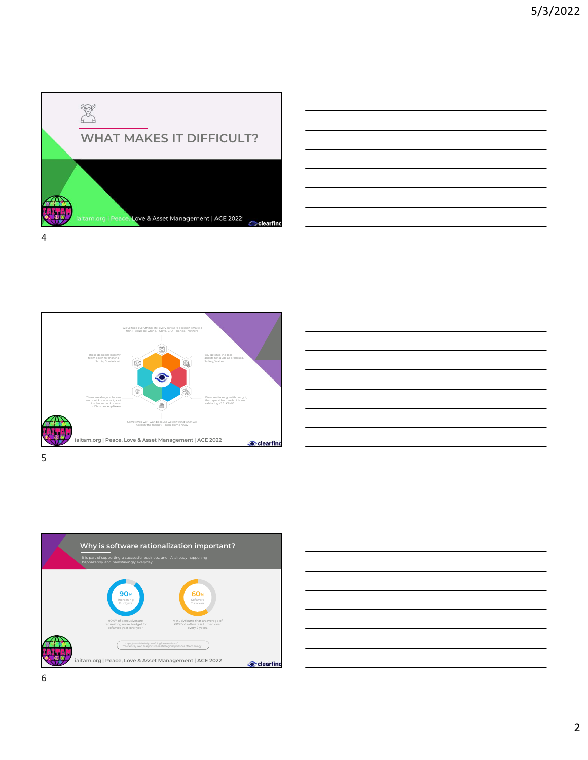

These decisions bog my team of the state of the state of the state of the state of the state of the state of the state of the state of the state of the state of the state of the state of the state of the state of the state

 $5<sub>5</sub>$ 

We've trial examples are always solutions and the wearer are christian in make. I<br>
There are always solutions were always to the unknown unknown unknown unknown unknown unknown unknown unknown<br>
There are always solutions<br>





| <u> 1989 - Johann Stoff, deutscher Stoffen und der Stoffen und der Stoffen und der Stoffen und der Stoffen und de</u> |  |
|-----------------------------------------------------------------------------------------------------------------------|--|
|                                                                                                                       |  |
|                                                                                                                       |  |
|                                                                                                                       |  |
|                                                                                                                       |  |
|                                                                                                                       |  |
| <u> 1989 - Andrea Stadt Britain, amerikansk politik (* 1958)</u>                                                      |  |
|                                                                                                                       |  |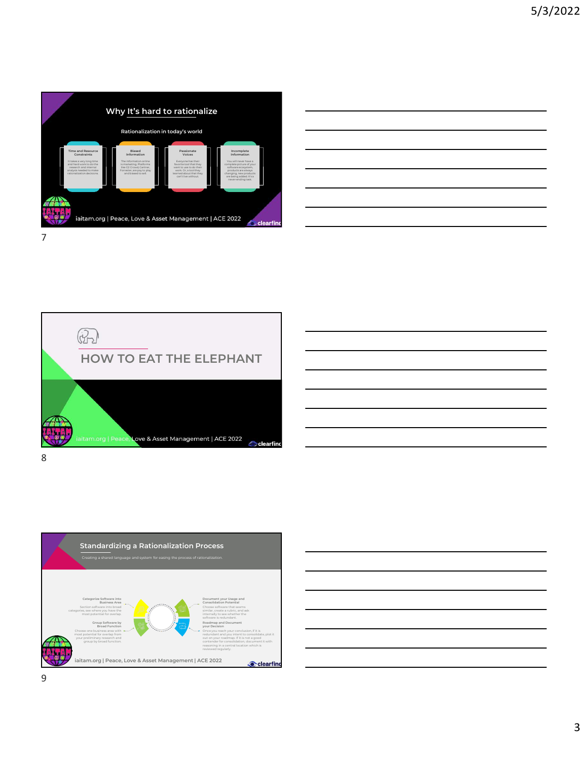









9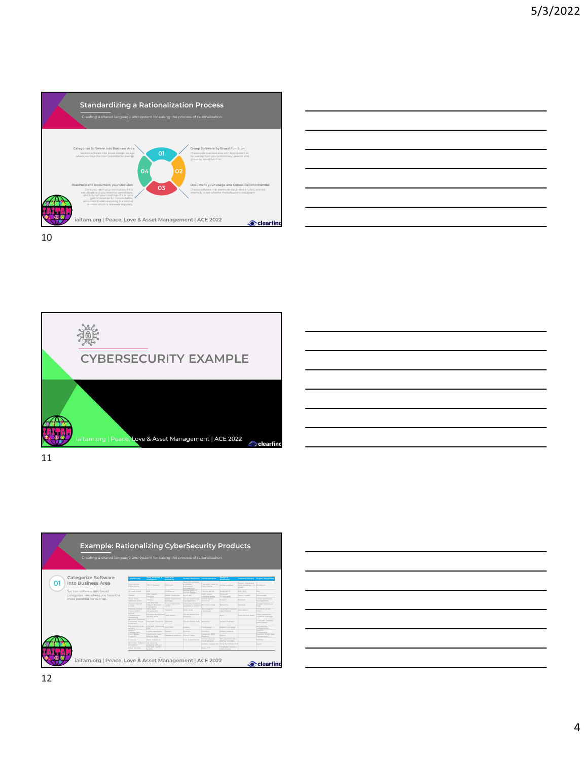







| <b>Example: Rationalizing CyberSecurity Products</b>                             |                                                    |                                                                                                    |                                                                                 |                                                |                                 |                                                            |                                         |                                           |  |  |  |
|----------------------------------------------------------------------------------|----------------------------------------------------|----------------------------------------------------------------------------------------------------|---------------------------------------------------------------------------------|------------------------------------------------|---------------------------------|------------------------------------------------------------|-----------------------------------------|-------------------------------------------|--|--|--|
|                                                                                  |                                                    |                                                                                                    |                                                                                 |                                                |                                 |                                                            |                                         |                                           |  |  |  |
| Creating a shared language and system for easing the process of rationalization. |                                                    |                                                                                                    |                                                                                 |                                                |                                 |                                                            |                                         |                                           |  |  |  |
|                                                                                  |                                                    |                                                                                                    |                                                                                 |                                                |                                 |                                                            |                                         |                                           |  |  |  |
|                                                                                  |                                                    |                                                                                                    |                                                                                 |                                                |                                 |                                                            |                                         |                                           |  |  |  |
|                                                                                  | <b>bersecurity</b>                                 |                                                                                                    |                                                                                 |                                                |                                 |                                                            | Customer Service Project Mangemen       |                                           |  |  |  |
| Categorize Software                                                              |                                                    |                                                                                                    |                                                                                 | Human Resources Communication                  |                                 |                                                            | Twilian interactive                     |                                           |  |  |  |
| into Business Area                                                               | Beyondouit                                         | maco sportre                                                                                       | SEM rush                                                                        | Next thing digital<br>experience<br>management |                                 | Ture sight capacity Adobe audition                         | Joice response - lur Warkfront<br>issom |                                           |  |  |  |
| Section software into broad                                                      | Wrange cloud EAC                                   |                                                                                                    | Configuros                                                                      | Service Now HR                                 | The ine ine link                | AUROFACULT:                                                | Arrist COM                              | hira.                                     |  |  |  |
| categories, see where you have the                                               | Qualyo                                             | <b>GM Copons</b>                                                                                   | Adobe Captivate Work day                                                        |                                                | Math works<br>schedule editor   | Microsoft<br>Whiteboard                                    | Merint Impact                           | Smartghest                                |  |  |  |
| most potential for overlap.                                                      | Micro focus<br>reflection suite                    | Analytics<br>Tableau                                                                               | Adobe Experience Cracle warehouse Cracle report<br>Manager management scheduler |                                                |                                 | Invision                                                   | Hubspot                                 | Caracta supporter una<br>management       |  |  |  |
|                                                                                  |                                                    | SAP Business<br>Zataler Internet Cibiects Business Augus Interaction                               |                                                                                 | Achievers employee (bm lotus notes             |                                 | Ralsamig                                                   | Zenderk                                 | Coogle Workspace                          |  |  |  |
|                                                                                  | Network Access<br>Control (NAC)                    | intelligence<br>Tibo data<br>Virtualization                                                        | Hubspot                                                                         | Saba cloud                                     | then passport<br>advantage      | True Sight Capacity CerviceNow<br>Optimization             |                                         | The omni group<br>Dmnl                    |  |  |  |
|                                                                                  | Spiunk                                             | Rytware standguard soft listenv                                                                    |                                                                                 | Orade fusion hom                               |                                 | Mito                                                       |                                         |                                           |  |  |  |
|                                                                                  | infrastructure<br>Monitoring<br>Microsoft Defender | security suite                                                                                     |                                                                                 | analytics                                      |                                 |                                                            | Zoho Service Desk Cflow operations      | TrueSight Capacity                        |  |  |  |
|                                                                                  | Protection                                         | Advanced Threat Microsoft Power BI Absolute                                                        |                                                                                 | Orade People Soft Salasmig                     |                                 | Adobe illustrator                                          |                                         | costmization                              |  |  |  |
|                                                                                  |                                                    | ibm domino mail Microsoft Dynamics Act Clini<br>NAV                                                |                                                                                 | Lattice                                        | Confuence                       | Adobe Photoshop                                            |                                         | <b>Ibm</b> sterling                       |  |  |  |
|                                                                                  | secons<br>management<br><b>Ziern Sensy</b>         | Apotio apoticone Selemic                                                                           |                                                                                 | Hirelght Warkford                              |                                 | Adobe InDesign                                             |                                         | connectdirect<br>Vrealize<br>Orchestrator |  |  |  |
|                                                                                  | Endpoint                                           | Investment Data Calesforce platform Orade Taleo Desktop                                            |                                                                                 |                                                | Symantec PGP                    | Siench                                                     |                                         | Planview Spigit Idea<br>Management        |  |  |  |
|                                                                                  | F-Secure                                           | Tibos Webfocus                                                                                     |                                                                                 | Sous Assessments                               | Adobe creative<br>doud all apps | Ibm graphical data<br>display manager                      |                                         | Monday                                    |  |  |  |
|                                                                                  |                                                    | Symantec Endpoint Sat advance<br>Encryption Innalytics software<br>Kehy Environce Microsoft report |                                                                                 |                                                |                                 | Acrobat Reader DC Corel PaintShop Pro<br>TrueGght Capacity |                                         | Asana                                     |  |  |  |
|                                                                                  | Kofax Equitrac                                     | <b><i><u>Particular</u></i></b>                                                                    |                                                                                 |                                                | Robo-FTP                        |                                                            |                                         |                                           |  |  |  |

| Products                              |                                                                   |                                                         |
|---------------------------------------|-------------------------------------------------------------------|---------------------------------------------------------|
| n.                                    |                                                                   |                                                         |
| Detign A<br>Multimedia                | Customer Service Project Mangemen                                 |                                                         |
| noltibus edges                        | Twilian interactive<br>voice response - Ivr. Warkfront<br>instem. |                                                         |
| TJ GAOCAN                             | ACTI CRM                                                          | 3km                                                     |
| Microsoft<br>Whiteboard<br>noision    | Wering Impact<br><b>Hubsoot</b>                                   | Smartsheet<br>Oracle warehouse                          |
| pimalaR                               | Zenderk                                                           | management<br>Coogle Workspace<br>Suite                 |
| True Sight Capacity<br>Optimization   |                                                                   | The omni group<br>Drani                                 |
| <b>COL</b>                            | Zoho Service Deck                                                 | Cflow operations<br>juosidiov manager                   |
| vaterauli eddeA                       |                                                                   | TrueGight Capacity<br>cotimization                      |
| Adobe Photoshop                       |                                                                   | Ibm sterling                                            |
| Adobe InDesign                        |                                                                   | connect direct<br><b>Mealips</b><br><b>Orchestrator</b> |
| Sketch                                |                                                                   | Planview Spigit Idea<br>Management.                     |
| ibm graphical data<br>display manager |                                                                   | Monday                                                  |
| Corel PaintShop Pro                   |                                                                   | Asana                                                   |
| TrueGight Capacity<br>Optimization    |                                                                   |                                                         |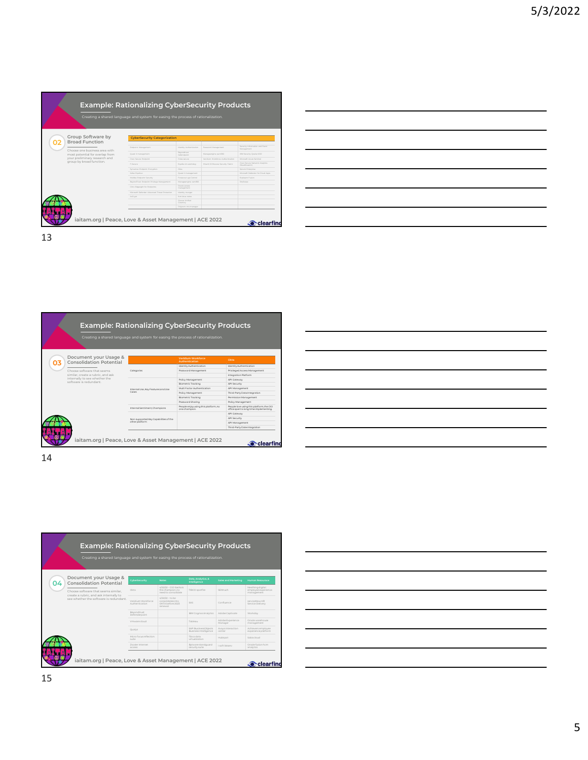|                                                           | <b>Example: Rationalizing CyberSecurity Products</b>                             |                                     |                                    |                                                            |  |  |
|-----------------------------------------------------------|----------------------------------------------------------------------------------|-------------------------------------|------------------------------------|------------------------------------------------------------|--|--|
|                                                           | Creating a shared language and system for easing the process of rationalization. |                                     |                                    |                                                            |  |  |
| Group Software by                                         | <b>CyberSecurity Categorization</b>                                              |                                     |                                    |                                                            |  |  |
| <b>Broad Function</b>                                     |                                                                                  |                                     |                                    |                                                            |  |  |
| Choose one business area with                             | Endpoint Management                                                              | Identity Authentication             | Password Management                | Security information and Event                             |  |  |
| most potential for overlap from                           | Quest it management                                                              | Reyondtrust                         | Manageengine parn360               | IBM Security Qradar XDR                                    |  |  |
| your preliminary research and<br>group by broad function. | Class Secure Endpoint<br>F-Secure                                                | Pulse secure<br>Equitax id watchdog | Veridium Workforce Authentication  | Microsoft Azure Sentinel<br>Cisco Secure Network Analytics |  |  |
|                                                           |                                                                                  | Okta                                | Hitachi ID Bravura Security Fabric | (Stealthwatch)<br>Splunk Enterprise                        |  |  |
|                                                           | Symantec Endpoint Encryption<br>Kofax Equitrac                                   | Quest it management                 |                                    | Microsoft Defender for Cloud Apps                          |  |  |
|                                                           | McMee Endpoint Security                                                          | Forescout eye Control               |                                    | <b>Dabram Fusion</b>                                       |  |  |
|                                                           | BeyondTrust Endpoint Privilege Management                                        | Manageengine cam360                 |                                    | Stellcope                                                  |  |  |
|                                                           | Citrix Edgesight for Endpoints                                                   | Orado access<br>management          |                                    |                                                            |  |  |
|                                                           | Microsoft Defender Advanced Threat Protection                                    | Identity manger                     |                                    |                                                            |  |  |
|                                                           | AxCrypt                                                                          | <b>Brm lotus notes</b>              |                                    |                                                            |  |  |
|                                                           |                                                                                  | Oracse Unified<br>Girectory         |                                    |                                                            |  |  |
|                                                           |                                                                                  | Polycom mmx manager                 |                                    |                                                            |  |  |

| <u> 1989 - Andrea Andrew Maria (h. 1989).</u>                                                                         |  |  |
|-----------------------------------------------------------------------------------------------------------------------|--|--|
|                                                                                                                       |  |  |
|                                                                                                                       |  |  |
|                                                                                                                       |  |  |
|                                                                                                                       |  |  |
| <u> 1989 - Johann Stoff, deutscher Stoffen und der Stoffen und der Stoffen und der Stoffen und der Stoffen und d</u>  |  |  |
|                                                                                                                       |  |  |
|                                                                                                                       |  |  |
|                                                                                                                       |  |  |
|                                                                                                                       |  |  |
|                                                                                                                       |  |  |
|                                                                                                                       |  |  |
|                                                                                                                       |  |  |
|                                                                                                                       |  |  |
|                                                                                                                       |  |  |
|                                                                                                                       |  |  |
|                                                                                                                       |  |  |
| <u> 1990 - Jan Samuel Barbara, margaret eta biztanleria (h. 1980).</u>                                                |  |  |
|                                                                                                                       |  |  |
|                                                                                                                       |  |  |
|                                                                                                                       |  |  |
|                                                                                                                       |  |  |
| <u> 1989 - Johann Barn, mars and de Branch Barn, mars and de Branch Barn, mars and de Branch Barn, mars and de Br</u> |  |  |

| iaitam.org   Peace, Love & Asset Management   ACE 2022          |                                                                                  |                                                      | <b>Clearfind</b>                               |  |
|-----------------------------------------------------------------|----------------------------------------------------------------------------------|------------------------------------------------------|------------------------------------------------|--|
|                                                                 |                                                                                  |                                                      |                                                |  |
|                                                                 |                                                                                  |                                                      |                                                |  |
|                                                                 |                                                                                  |                                                      |                                                |  |
|                                                                 |                                                                                  |                                                      |                                                |  |
|                                                                 |                                                                                  |                                                      |                                                |  |
|                                                                 |                                                                                  |                                                      |                                                |  |
|                                                                 |                                                                                  |                                                      |                                                |  |
|                                                                 |                                                                                  |                                                      |                                                |  |
|                                                                 |                                                                                  |                                                      |                                                |  |
|                                                                 |                                                                                  |                                                      |                                                |  |
|                                                                 |                                                                                  |                                                      |                                                |  |
|                                                                 |                                                                                  |                                                      |                                                |  |
|                                                                 |                                                                                  |                                                      |                                                |  |
|                                                                 |                                                                                  |                                                      |                                                |  |
|                                                                 |                                                                                  |                                                      |                                                |  |
|                                                                 |                                                                                  |                                                      |                                                |  |
|                                                                 |                                                                                  |                                                      |                                                |  |
|                                                                 |                                                                                  |                                                      |                                                |  |
|                                                                 |                                                                                  | <b>Example: Rationalizing CyberSecurity Products</b> |                                                |  |
|                                                                 | Creating a shared language and system for easing the process of rationalization. |                                                      |                                                |  |
|                                                                 |                                                                                  |                                                      |                                                |  |
| Document your Usage &                                           |                                                                                  | Veridium Workforce<br>Authentication                 | Okta                                           |  |
| <b>Consolidation Potential</b>                                  |                                                                                  | Identity Authentication                              | Identity Authentication                        |  |
|                                                                 | Categories                                                                       | Password Management                                  | Privileged Access Management                   |  |
| Choose software that seems<br>similar, create a rubric, and ask |                                                                                  |                                                      | Integration Platform                           |  |
| internally to see whether the                                   |                                                                                  | Policy Management                                    |                                                |  |
| software is redundant.                                          |                                                                                  | Biometric Tracking                                   | API Cateway<br>API Security                    |  |
|                                                                 |                                                                                  | Multi Factor Authentication                          | API Management                                 |  |
|                                                                 | Internal Use, Key Features and Use<br>Cases                                      | Policy Management                                    | Third-Party Data Integration                   |  |
|                                                                 |                                                                                  | Biometric Tracking                                   | Permission Management                          |  |
|                                                                 |                                                                                  | Password Sharing                                     | Policy Management                              |  |
|                                                                 | Internal Sentiment, Champions                                                    | People enjoy using this platform, no                 | People love using this platform, the CIO       |  |
|                                                                 |                                                                                  | one champion.                                        | office spent a long time implementing.         |  |
|                                                                 |                                                                                  |                                                      | API Cateway                                    |  |
|                                                                 | Non-supported Key Capabilities of the<br>other platform                          |                                                      | API Security                                   |  |
|                                                                 |                                                                                  |                                                      | API Management<br>Third-Party Date integration |  |

| pducts                                                                             |
|------------------------------------------------------------------------------------|
|                                                                                    |
|                                                                                    |
| Okta                                                                               |
| dentity Authentication                                                             |
| Privileged Access Management                                                       |
| Integration Platform                                                               |
| API Cateway                                                                        |
| API Security                                                                       |
| API Management                                                                     |
| Third-Party Data Integration                                                       |
| Permission Management                                                              |
| Policy Management                                                                  |
| People love using this platform, the CIO<br>office spent a long time implementing. |
| API Cateway                                                                        |
| API Security                                                                       |
| API Management                                                                     |
| Third-Party Date integration                                                       |

| iaitam.org   Peace, Love & Asset Management   ACE 2022                                                                                                                             |                                      |                                         |                                     |                             | Clearfind                         |  |  |  |
|------------------------------------------------------------------------------------------------------------------------------------------------------------------------------------|--------------------------------------|-----------------------------------------|-------------------------------------|-----------------------------|-----------------------------------|--|--|--|
|                                                                                                                                                                                    |                                      |                                         |                                     |                             |                                   |  |  |  |
|                                                                                                                                                                                    |                                      |                                         |                                     |                             |                                   |  |  |  |
|                                                                                                                                                                                    |                                      |                                         |                                     |                             |                                   |  |  |  |
|                                                                                                                                                                                    |                                      |                                         |                                     |                             |                                   |  |  |  |
|                                                                                                                                                                                    |                                      |                                         |                                     |                             |                                   |  |  |  |
|                                                                                                                                                                                    |                                      |                                         |                                     |                             |                                   |  |  |  |
|                                                                                                                                                                                    |                                      |                                         |                                     |                             |                                   |  |  |  |
|                                                                                                                                                                                    |                                      |                                         |                                     |                             |                                   |  |  |  |
|                                                                                                                                                                                    |                                      |                                         |                                     |                             |                                   |  |  |  |
|                                                                                                                                                                                    |                                      |                                         |                                     |                             |                                   |  |  |  |
|                                                                                                                                                                                    |                                      |                                         |                                     |                             |                                   |  |  |  |
|                                                                                                                                                                                    |                                      |                                         |                                     |                             |                                   |  |  |  |
|                                                                                                                                                                                    |                                      |                                         |                                     |                             |                                   |  |  |  |
|                                                                                                                                                                                    |                                      |                                         |                                     |                             |                                   |  |  |  |
|                                                                                                                                                                                    |                                      |                                         |                                     |                             |                                   |  |  |  |
|                                                                                                                                                                                    |                                      |                                         |                                     |                             |                                   |  |  |  |
|                                                                                                                                                                                    |                                      |                                         |                                     |                             |                                   |  |  |  |
|                                                                                                                                                                                    |                                      |                                         |                                     |                             |                                   |  |  |  |
| <b>Example: Rationalizing CyberSecurity Products</b>                                                                                                                               |                                      |                                         |                                     |                             |                                   |  |  |  |
|                                                                                                                                                                                    |                                      |                                         |                                     |                             |                                   |  |  |  |
| Creating a shared language and system for easing the process of rationalization.                                                                                                   |                                      |                                         |                                     |                             |                                   |  |  |  |
|                                                                                                                                                                                    |                                      |                                         |                                     |                             |                                   |  |  |  |
|                                                                                                                                                                                    |                                      |                                         |                                     |                             |                                   |  |  |  |
|                                                                                                                                                                                    | <b>CyberSecurity</b>                 | <b>Notes</b>                            |                                     | Sales and Marketing         | Human Resourace                   |  |  |  |
|                                                                                                                                                                                    |                                      | 4/22/22 - CIO Sasha is                  | Data, Analytics, &<br>Intelligence  |                             | Nexthing digital                  |  |  |  |
|                                                                                                                                                                                    | Okta                                 | the champion, no<br>need to consolidate | TIBCO spotfire                      | SEMrush                     | employee experience<br>management |  |  |  |
|                                                                                                                                                                                    |                                      | $4/22/22 -$ to be                       |                                     |                             |                                   |  |  |  |
|                                                                                                                                                                                    | Veridium Worldorce<br>Authentication | consolidates into<br>OKTA before 2023   | SAS                                 | Confluence                  | serviceNow HR<br>Service Delivery |  |  |  |
|                                                                                                                                                                                    |                                      | renewall                                |                                     |                             |                                   |  |  |  |
|                                                                                                                                                                                    | Beyondtrust<br>Defenderpoint         |                                         | IBM Cognos Analytics                | Adobe Captivate             | Workday                           |  |  |  |
|                                                                                                                                                                                    | Vmware cloud                         |                                         | Tableau                             | Adobe Experience<br>Manager | Oracle warehouse<br>management    |  |  |  |
|                                                                                                                                                                                    | Qualys                               |                                         | SAP BusinessObjects                 | Avaya interaction           | Achievers employee                |  |  |  |
|                                                                                                                                                                                    | Micro focus reflection               |                                         | Business Intelligence<br>Tibco data | center                      | experience platform               |  |  |  |
| Document your Usage &<br><b>Consolidation Potential</b><br>Choose software that seems similar,<br>create a rubric, and ask internally to<br>see whether the software is redundant. | suite                                |                                         | virtualization                      | Hubspot                     | Saba cloud                        |  |  |  |
|                                                                                                                                                                                    | Zscaler Internet<br>access           |                                         | Bytwarestandguard<br>security suite | I soft listsery             | Oracle fusion hcm<br>analytics    |  |  |  |
|                                                                                                                                                                                    |                                      |                                         |                                     |                             |                                   |  |  |  |
| iaitam.org   Peace, Love & Asset Management   ACE 2022                                                                                                                             |                                      |                                         |                                     |                             | <b>Clearfind</b>                  |  |  |  |

|                                              | Security Products           |                                                       |
|----------------------------------------------|-----------------------------|-------------------------------------------------------|
| ss of rationalization.                       |                             |                                                       |
| Data, Analytics, &<br>Intelligence           | Sales and Marketing         | Human Resourace                                       |
| TIBCO spotfire                               | SEMrush                     | Nexthing digital<br>employee experience<br>management |
| <b>SAS</b>                                   | Confluence                  | serviceNow HR<br>Service Delivery                     |
| IBM Cognos Analytics                         | AdobeCaptivate              | Workday                                               |
| Tableau                                      | Adobe Experience<br>Manager | Oracle warehouse<br>management                        |
| SAP BusinessObjects<br>Business Intelligence | Avaya interaction<br>center | Achievers employee<br>experience platform             |
| Tibco data<br>virtualization                 | Hubspot                     | Saba cloud                                            |
| Bytware standguard<br>security suite         | I soft listserv             | Oracle fusion hcm<br>analytics                        |